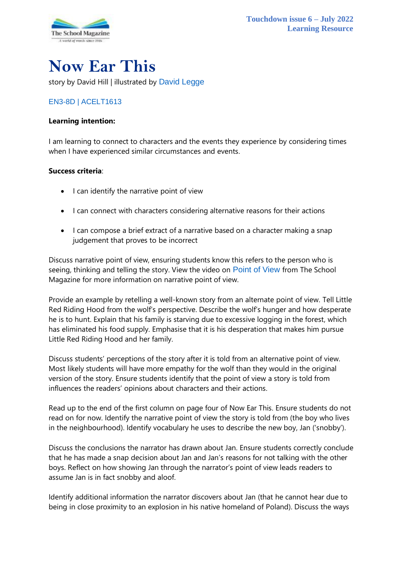

# **Now Ear This**

story by David Hill | illustrated by [David Legge](https://www.harpercollins.com.au/cr-109865/david-legge/)

### [EN3-8D](https://educationstandards.nsw.edu.au/wps/portal/nesa/k-10/learning-areas/english-year-10/english-k-10/content/899) | [ACELT1613](https://www.australiancurriculum.edu.au/Search/?q=ACELT1613)

#### **Learning intention:**

I am learning to connect to characters and the events they experience by considering times when I have experienced similar circumstances and events.

#### **Success criteria**:

- I can identify the narrative point of view
- I can connect with characters considering alternative reasons for their actions
- I can compose a brief extract of a narrative based on a character making a snap judgement that proves to be incorrect

Discuss narrative point of view, ensuring students know this refers to the person who is seeing, thinking and telling the story. View the video on [Point of View](https://theschoolmagazine.com.au/resources/point-of-view) from The School Magazine for more information on narrative point of view.

Provide an example by retelling a well-known story from an alternate point of view. Tell Little Red Riding Hood from the wolf's perspective. Describe the wolf's hunger and how desperate he is to hunt. Explain that his family is starving due to excessive logging in the forest, which has eliminated his food supply. Emphasise that it is his desperation that makes him pursue Little Red Riding Hood and her family.

Discuss students' perceptions of the story after it is told from an alternative point of view. Most likely students will have more empathy for the wolf than they would in the original version of the story. Ensure students identify that the point of view a story is told from influences the readers' opinions about characters and their actions.

Read up to the end of the first column on page four of Now Ear This. Ensure students do not read on for now. Identify the narrative point of view the story is told from (the boy who lives in the neighbourhood). Identify vocabulary he uses to describe the new boy, Jan ('snobby').

Discuss the conclusions the narrator has drawn about Jan. Ensure students correctly conclude that he has made a snap decision about Jan and Jan's reasons for not talking with the other boys. Reflect on how showing Jan through the narrator's point of view leads readers to assume Jan is in fact snobby and aloof.

Identify additional information the narrator discovers about Jan (that he cannot hear due to being in close proximity to an explosion in his native homeland of Poland). Discuss the ways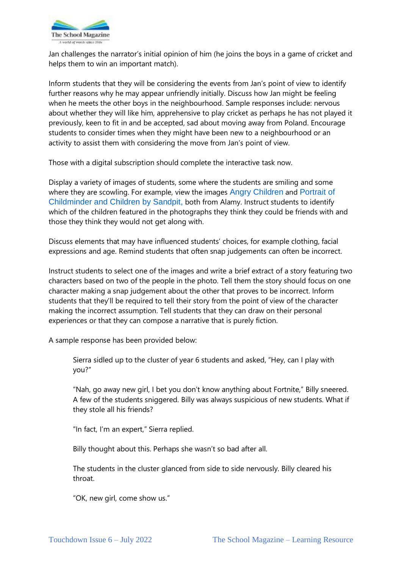

Jan challenges the narrator's initial opinion of him (he joins the boys in a game of cricket and helps them to win an important match).

Inform students that they will be considering the events from Jan's point of view to identify further reasons why he may appear unfriendly initially. Discuss how Jan might be feeling when he meets the other boys in the neighbourhood. Sample responses include: nervous about whether they will like him, apprehensive to play cricket as perhaps he has not played it previously, keen to fit in and be accepted, sad about moving away from Poland. Encourage students to consider times when they might have been new to a neighbourhood or an activity to assist them with considering the move from Jan's point of view.

Those with a digital subscription should complete the interactive task now.

Display a variety of images of students, some where the students are smiling and some where they are scowling. For example, view the images [Angry Children](https://www.alamy.com/stock-photo-angry-children-131487568.html) and [Portrait of](https://www.alamy.com/stock-photo-portrait-of-childminder-and-children-by-sandpit-looking-at-camera-148111803.html?pv=1&stamp=2&imageid=08AD58B7-13E6-402B-91D2-710E6ADC565B&p=460941&n=0&orientation=0&pn=1&searchtype=0&IsFromSearch=1&srch=foo%3dbar%26st%3d0%26pn%3d1%26ps%3d100%26sortby%3d2%26resultview%3dsortbyPopular%26npgs%3d0%26qt%3dsmiling%2520children%26qt_raw%3dsmiling%2520children%26lic%3d3%26mr%3d0%26pr%3d0%26ot%3d0%26creative%3d%26ag%3d0%26hc%3d0%26pc%3d%26blackwhite%3d%26cutout%3d%26tbar%3d1%26et%3d0x000000000000000000000%26vp%3d0%26loc%3d0%26imgt%3d0%26dtfr%3d%26dtto%3d%26size%3d0xFF%26archive%3d1%26groupid%3d%26pseudoid%3d%26a%3d%26cdid%3d%26cdsrt%3d%26name%3d%26qn%3d%26apalib%3d%26apalic%3d%26lightbox%3d%26gname%3d%26gtype%3d%26xstx%3d0%26simid%3d%26saveQry%3d%26editorial%3d1%26nu%3d%26t%3d%26edoptin%3d%26customgeoip%3d%26cap%3d1%26cbstore%3d1%26vd%3d0%26lb%3d%26fi%3d2%26edrf%3d0%26ispremium%3d1%26flip%3d0%26pl%3d)  [Childminder and Children by Sandpit,](https://www.alamy.com/stock-photo-portrait-of-childminder-and-children-by-sandpit-looking-at-camera-148111803.html?pv=1&stamp=2&imageid=08AD58B7-13E6-402B-91D2-710E6ADC565B&p=460941&n=0&orientation=0&pn=1&searchtype=0&IsFromSearch=1&srch=foo%3dbar%26st%3d0%26pn%3d1%26ps%3d100%26sortby%3d2%26resultview%3dsortbyPopular%26npgs%3d0%26qt%3dsmiling%2520children%26qt_raw%3dsmiling%2520children%26lic%3d3%26mr%3d0%26pr%3d0%26ot%3d0%26creative%3d%26ag%3d0%26hc%3d0%26pc%3d%26blackwhite%3d%26cutout%3d%26tbar%3d1%26et%3d0x000000000000000000000%26vp%3d0%26loc%3d0%26imgt%3d0%26dtfr%3d%26dtto%3d%26size%3d0xFF%26archive%3d1%26groupid%3d%26pseudoid%3d%26a%3d%26cdid%3d%26cdsrt%3d%26name%3d%26qn%3d%26apalib%3d%26apalic%3d%26lightbox%3d%26gname%3d%26gtype%3d%26xstx%3d0%26simid%3d%26saveQry%3d%26editorial%3d1%26nu%3d%26t%3d%26edoptin%3d%26customgeoip%3d%26cap%3d1%26cbstore%3d1%26vd%3d0%26lb%3d%26fi%3d2%26edrf%3d0%26ispremium%3d1%26flip%3d0%26pl%3d) both from Alamy. Instruct students to identify which of the children featured in the photographs they think they could be friends with and those they think they would not get along with.

Discuss elements that may have influenced students' choices, for example clothing, facial expressions and age. Remind students that often snap judgements can often be incorrect.

Instruct students to select one of the images and write a brief extract of a story featuring two characters based on two of the people in the photo. Tell them the story should focus on one character making a snap judgement about the other that proves to be incorrect. Inform students that they'll be required to tell their story from the point of view of the character making the incorrect assumption. Tell students that they can draw on their personal experiences or that they can compose a narrative that is purely fiction.

A sample response has been provided below:

Sierra sidled up to the cluster of year 6 students and asked, "Hey, can I play with you?"

"Nah, go away new girl, I bet you don't know anything about Fortnite," Billy sneered. A few of the students sniggered. Billy was always suspicious of new students. What if they stole all his friends?

"In fact, I'm an expert," Sierra replied.

Billy thought about this. Perhaps she wasn't so bad after all.

The students in the cluster glanced from side to side nervously. Billy cleared his throat.

"OK, new girl, come show us."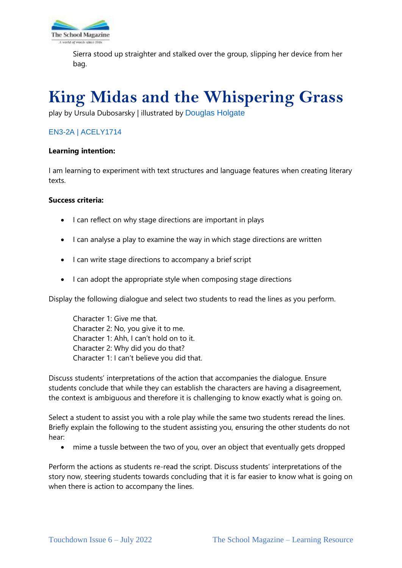

Sierra stood up straighter and stalked over the group, slipping her device from her bag.

# **King Midas and the Whispering Grass**

play by Ursula Dubosarsky | illustrated by [Douglas Holgate](https://www.shannonassociates.com/dougholgate)

### [EN3-2A](https://educationstandards.nsw.edu.au/wps/portal/nesa/k-10/learning-areas/english-year-10/english-k-10/content/897) | [ACELY1714](https://www.australiancurriculum.edu.au/Search/?q=ACELY1714)

#### **Learning intention:**

I am learning to experiment with text structures and language features when creating literary texts.

#### **Success criteria:**

- I can reflect on why stage directions are important in plays
- I can analyse a play to examine the way in which stage directions are written
- I can write stage directions to accompany a brief script
- I can adopt the appropriate style when composing stage directions

Display the following dialogue and select two students to read the lines as you perform.

Character 1: Give me that. Character 2: No, you give it to me. Character 1: Ahh, I can't hold on to it. Character 2: Why did you do that? Character 1: I can't believe you did that.

Discuss students' interpretations of the action that accompanies the dialogue. Ensure students conclude that while they can establish the characters are having a disagreement, the context is ambiguous and therefore it is challenging to know exactly what is going on.

Select a student to assist you with a role play while the same two students reread the lines. Briefly explain the following to the student assisting you, ensuring the other students do not hear:

• mime a tussle between the two of you, over an object that eventually gets dropped

Perform the actions as students re-read the script. Discuss students' interpretations of the story now, steering students towards concluding that it is far easier to know what is going on when there is action to accompany the lines.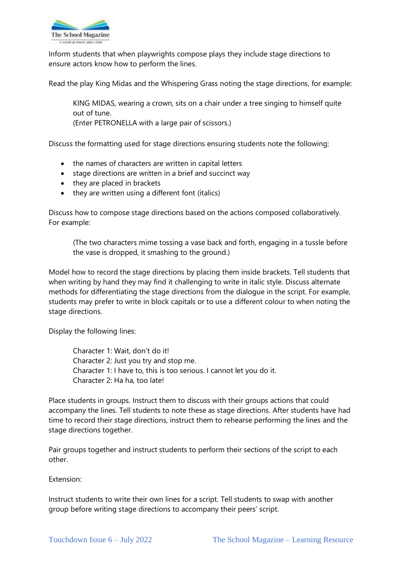

Inform students that when playwrights compose plays they include stage directions to ensure actors know how to perform the lines.

Read the play King Midas and the Whispering Grass noting the stage directions, for example:

KING MIDAS, wearing a crown, sits on a chair under a tree singing to himself quite out of tune.

(Enter PETRONELLA with a large pair of scissors.)

Discuss the formatting used for stage directions ensuring students note the following:

- the names of characters are written in capital letters
- stage directions are written in a brief and succinct way
- they are placed in brackets
- they are written using a different font (italics)

Discuss how to compose stage directions based on the actions composed collaboratively. For example:

(The two characters mime tossing a vase back and forth, engaging in a tussle before the vase is dropped, it smashing to the ground.)

Model how to record the stage directions by placing them inside brackets. Tell students that when writing by hand they may find it challenging to write in italic style. Discuss alternate methods for differentiating the stage directions from the dialogue in the script. For example, students may prefer to write in block capitals or to use a different colour to when noting the stage directions.

Display the following lines:

Character 1: Wait, don't do it! Character 2: Just you try and stop me. Character 1: I have to, this is too serious. I cannot let you do it. Character 2: Ha ha, too late!

Place students in groups. Instruct them to discuss with their groups actions that could accompany the lines. Tell students to note these as stage directions. After students have had time to record their stage directions, instruct them to rehearse performing the lines and the stage directions together.

Pair groups together and instruct students to perform their sections of the script to each other.

Extension:

Instruct students to write their own lines for a script. Tell students to swap with another group before writing stage directions to accompany their peers' script.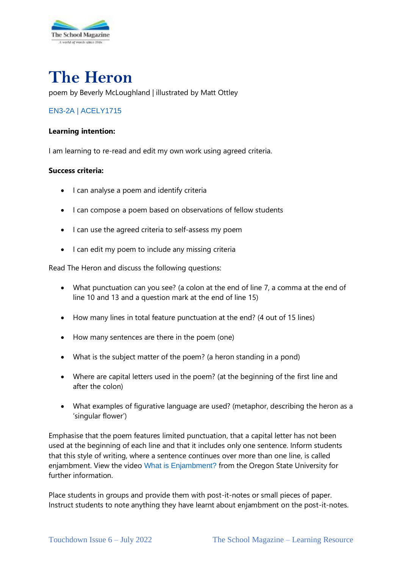

# **The Heron**

poem by Beverly McLoughland | illustrated by Matt Ottley

### [EN3-2A](https://educationstandards.nsw.edu.au/wps/portal/nesa/k-10/learning-areas/english-year-10/english-k-10/content/897) | [ACELY1715](https://www.australiancurriculum.edu.au/Search/?q=ACELY1715)

#### **Learning intention:**

I am learning to re-read and edit my own work using agreed criteria.

#### **Success criteria:**

- I can analyse a poem and identify criteria
- I can compose a poem based on observations of fellow students
- I can use the agreed criteria to self-assess my poem
- I can edit my poem to include any missing criteria

Read The Heron and discuss the following questions:

- What punctuation can you see? (a colon at the end of line 7, a comma at the end of line 10 and 13 and a question mark at the end of line 15)
- How many lines in total feature punctuation at the end? (4 out of 15 lines)
- How many sentences are there in the poem (one)
- What is the subject matter of the poem? (a heron standing in a pond)
- Where are capital letters used in the poem? (at the beginning of the first line and after the colon)
- What examples of figurative language are used? (metaphor, describing the heron as a 'singular flower')

Emphasise that the poem features limited punctuation, that a capital letter has not been used at the beginning of each line and that it includes only one sentence. Inform students that this style of writing, where a sentence continues over more than one line, is called enjambment. View the video [What is Enjambment?](https://liberalarts.oregonstate.edu/wlf/what-enjambment) from the Oregon State University for further information.

Place students in groups and provide them with post-it-notes or small pieces of paper. Instruct students to note anything they have learnt about enjambment on the post-it-notes.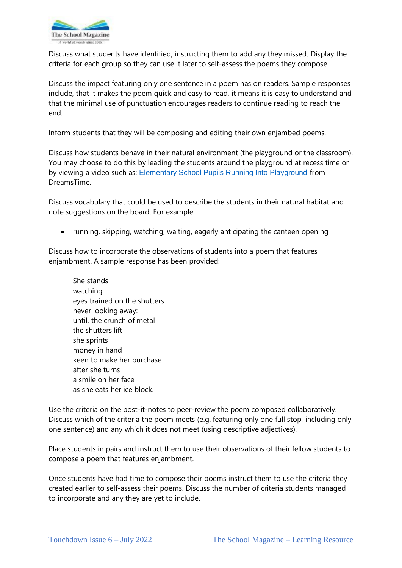

Discuss what students have identified, instructing them to add any they missed. Display the criteria for each group so they can use it later to self-assess the poems they compose.

Discuss the impact featuring only one sentence in a poem has on readers. Sample responses include, that it makes the poem quick and easy to read, it means it is easy to understand and that the minimal use of punctuation encourages readers to continue reading to reach the end.

Inform students that they will be composing and editing their own enjambed poems.

Discuss how students behave in their natural environment (the playground or the classroom). You may choose to do this by leading the students around the playground at recess time or by viewing a video such as: [Elementary School Pupils Running Into Playground](https://www.dreamstime.com/stock-footage-elementary-school-pupils-running-playground-group-schoolchildren-open-gate-to-run-towards-camera-shot-canon-d-mk-video57552459) from DreamsTime.

Discuss vocabulary that could be used to describe the students in their natural habitat and note suggestions on the board. For example:

• running, skipping, watching, waiting, eagerly anticipating the canteen opening

Discuss how to incorporate the observations of students into a poem that features enjambment. A sample response has been provided:

She stands watching eyes trained on the shutters never looking away: until, the crunch of metal the shutters lift she sprints money in hand keen to make her purchase after she turns a smile on her face as she eats her ice block.

Use the criteria on the post-it-notes to peer-review the poem composed collaboratively. Discuss which of the criteria the poem meets (e.g. featuring only one full stop, including only one sentence) and any which it does not meet (using descriptive adjectives).

Place students in pairs and instruct them to use their observations of their fellow students to compose a poem that features enjambment.

Once students have had time to compose their poems instruct them to use the criteria they created earlier to self-assess their poems. Discuss the number of criteria students managed to incorporate and any they are yet to include.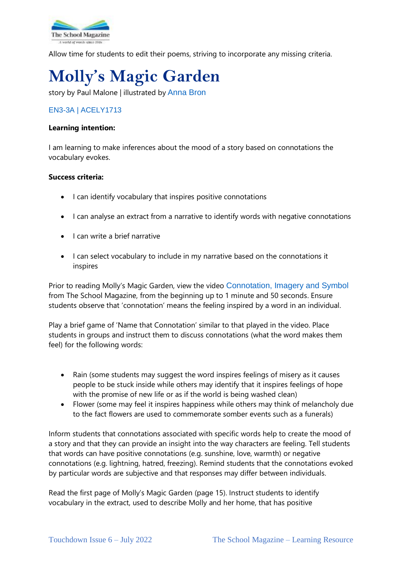

Allow time for students to edit their poems, striving to incorporate any missing criteria.

# **Molly's Magic Garden**

story by Paul Malone | illustrated by [Anna Bron](http://www.annabron.com/)

### [EN3-3A](https://educationstandards.nsw.edu.au/wps/portal/nesa/k-10/learning-areas/english-year-10/english-k-10/content/893) | [ACELY1713](https://www.australiancurriculum.edu.au/Search/?q=ACELY1713)

#### **Learning intention:**

I am learning to make inferences about the mood of a story based on connotations the vocabulary evokes.

#### **Success criteria:**

- I can identify vocabulary that inspires positive connotations
- I can analyse an extract from a narrative to identify words with negative connotations
- I can write a brief narrative
- I can select vocabulary to include in my narrative based on the connotations it inspires

Prior to reading Molly's Magic Garden, view the video [Connotation, Imagery and Symbol](https://theschoolmagazine.com.au/resources/connotation-imagery-and-symbol) from The School Magazine, from the beginning up to 1 minute and 50 seconds. Ensure students observe that 'connotation' means the feeling inspired by a word in an individual.

Play a brief game of 'Name that Connotation' similar to that played in the video. Place students in groups and instruct them to discuss connotations (what the word makes them feel) for the following words:

- Rain (some students may suggest the word inspires feelings of misery as it causes people to be stuck inside while others may identify that it inspires feelings of hope with the promise of new life or as if the world is being washed clean)
- Flower (some may feel it inspires happiness while others may think of melancholy due to the fact flowers are used to commemorate somber events such as a funerals)

Inform students that connotations associated with specific words help to create the mood of a story and that they can provide an insight into the way characters are feeling. Tell students that words can have positive connotations (e.g. sunshine, love, warmth) or negative connotations (e.g. lightning, hatred, freezing). Remind students that the connotations evoked by particular words are subjective and that responses may differ between individuals.

Read the first page of Molly's Magic Garden (page 15). Instruct students to identify vocabulary in the extract, used to describe Molly and her home, that has positive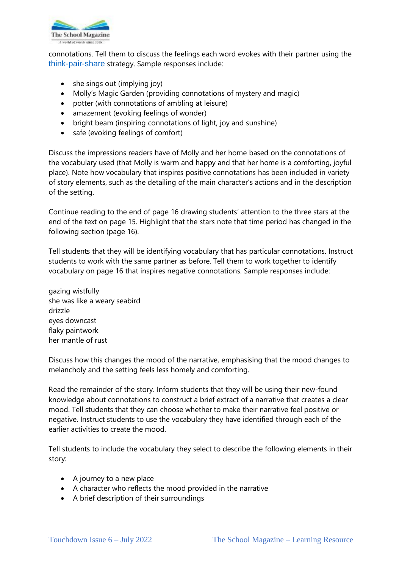

connotations. Tell them to discuss the feelings each word evokes with their partner using the [think-pair-share](https://education.nsw.gov.au/teaching-and-learning/student-assessment/smart-teaching-strategies/literacy/writing/stage-4/ideas/developing-ideas) strategy. Sample responses include:

- she sings out (implying joy)
- Molly's Magic Garden (providing connotations of mystery and magic)
- potter (with connotations of ambling at leisure)
- amazement (evoking feelings of wonder)
- bright beam (inspiring connotations of light, joy and sunshine)
- safe (evoking feelings of comfort)

Discuss the impressions readers have of Molly and her home based on the connotations of the vocabulary used (that Molly is warm and happy and that her home is a comforting, joyful place). Note how vocabulary that inspires positive connotations has been included in variety of story elements, such as the detailing of the main character's actions and in the description of the setting.

Continue reading to the end of page 16 drawing students' attention to the three stars at the end of the text on page 15. Highlight that the stars note that time period has changed in the following section (page 16).

Tell students that they will be identifying vocabulary that has particular connotations. Instruct students to work with the same partner as before. Tell them to work together to identify vocabulary on page 16 that inspires negative connotations. Sample responses include:

gazing wistfully she was like a weary seabird drizzle eyes downcast flaky paintwork her mantle of rust

Discuss how this changes the mood of the narrative, emphasising that the mood changes to melancholy and the setting feels less homely and comforting.

Read the remainder of the story. Inform students that they will be using their new-found knowledge about connotations to construct a brief extract of a narrative that creates a clear mood. Tell students that they can choose whether to make their narrative feel positive or negative. Instruct students to use the vocabulary they have identified through each of the earlier activities to create the mood.

Tell students to include the vocabulary they select to describe the following elements in their story:

- A journey to a new place
- A character who reflects the mood provided in the narrative
- A brief description of their surroundings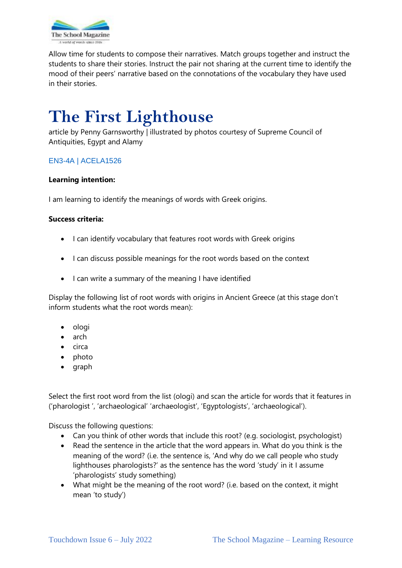

Allow time for students to compose their narratives. Match groups together and instruct the students to share their stories. Instruct the pair not sharing at the current time to identify the mood of their peers' narrative based on the connotations of the vocabulary they have used in their stories.

# **The First Lighthouse**

article by Penny Garnsworthy | illustrated by photos courtesy of Supreme Council of Antiquities, Egypt and Alamy

### [EN3-4A](https://educationstandards.nsw.edu.au/wps/portal/nesa/k-10/learning-areas/english-year-10/english-k-10/content/896) | [ACELA1526](https://www.australiancurriculum.edu.au/Search/?q=ACELA1526)

#### **Learning intention:**

I am learning to identify the meanings of words with Greek origins.

#### **Success criteria:**

- I can identify vocabulary that features root words with Greek origins
- I can discuss possible meanings for the root words based on the context
- I can write a summary of the meaning I have identified

Display the following list of root words with origins in Ancient Greece (at this stage don't inform students what the root words mean):

- ologi
- arch
- circa
- photo
- graph

Select the first root word from the list (ologi) and scan the article for words that it features in ('pharologist ', 'archaeological' 'archaeologist', 'Egyptologists', 'archaeological').

Discuss the following questions:

- Can you think of other words that include this root? (e.g. sociologist, psychologist)
- Read the sentence in the article that the word appears in. What do you think is the meaning of the word? (i.e. the sentence is, 'And why do we call people who study lighthouses pharologists?' as the sentence has the word 'study' in it I assume 'pharologists' study something)
- What might be the meaning of the root word? (i.e. based on the context, it might mean 'to study')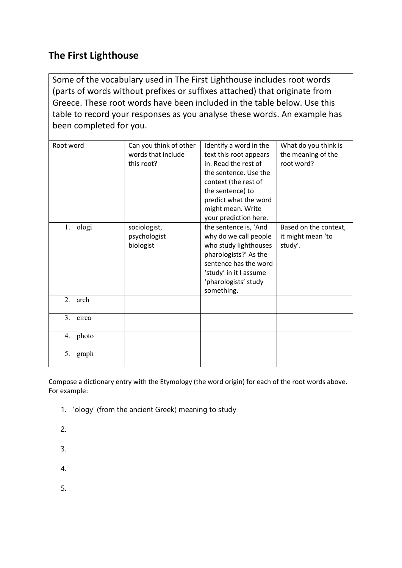# **The First Lighthouse**

Some of the vocabulary used in The First Lighthouse includes root words (parts of words without prefixes or suffixes attached) that originate from Greece. These root words have been included in the table below. Use this table to record your responses as you analyse these words. An example has been completed for you.

| Root word   | Can you think of other<br>words that include<br>this root? | Identify a word in the<br>text this root appears<br>in. Read the rest of<br>the sentence. Use the<br>context (the rest of<br>the sentence) to<br>predict what the word<br>might mean. Write<br>your prediction here. | What do you think is<br>the meaning of the<br>root word? |
|-------------|------------------------------------------------------------|----------------------------------------------------------------------------------------------------------------------------------------------------------------------------------------------------------------------|----------------------------------------------------------|
| ologi<br>1. | sociologist,<br>psychologist<br>biologist                  | the sentence is, 'And<br>why do we call people<br>who study lighthouses<br>pharologists?' As the<br>sentence has the word<br>'study' in it I assume<br>'pharologists' study<br>something.                            | Based on the context,<br>it might mean 'to<br>study'.    |
| 2.<br>arch  |                                                            |                                                                                                                                                                                                                      |                                                          |
| circa<br>3. |                                                            |                                                                                                                                                                                                                      |                                                          |
| photo<br>4. |                                                            |                                                                                                                                                                                                                      |                                                          |
| 5.<br>graph |                                                            |                                                                                                                                                                                                                      |                                                          |

Compose a dictionary entry with the Etymology (the word origin) for each of the root words above. For example:

- 1. 'ology' (from the ancient Greek) meaning to study
- 2.
- 3.
- 4.
- 5.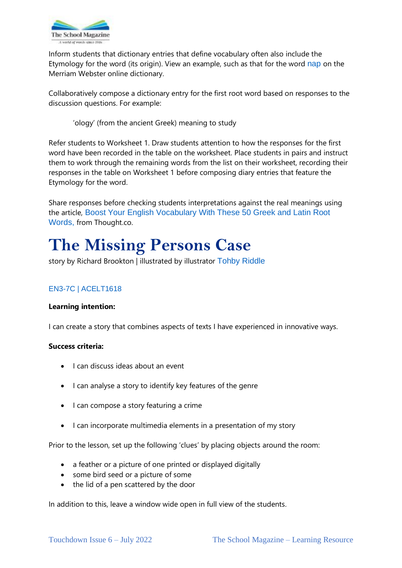

Inform students that dictionary entries that define vocabulary often also include the Etymology for the word (its origin). View an example, such as that for the word [nap](https://www.merriam-webster.com/dictionary/nap) on the Merriam Webster online dictionary.

Collaboratively compose a dictionary entry for the first root word based on responses to the discussion questions. For example:

'ology' (from the ancient Greek) meaning to study

Refer students to Worksheet 1. Draw students attention to how the responses for the first word have been recorded in the table on the worksheet. Place students in pairs and instruct them to work through the remaining words from the list on their worksheet, recording their responses in the table on Worksheet 1 before composing diary entries that feature the Etymology for the word.

Share responses before checking students interpretations against the real meanings using the article, [Boost Your English Vocabulary With These 50 Greek and Latin Root](https://www.thoughtco.com/common-word-roots-in-english-1692793)  [Words,](https://www.thoughtco.com/common-word-roots-in-english-1692793) from Thought.co.

# **The Missing Persons Case**

story by Richard Brookton | illustrated by [illustrator](http://www.annabron.com/) [Tohby Riddle](https://www.penguin.com.au/authors/tohby-riddle)

## [EN3-7C |](https://educationstandards.nsw.edu.au/wps/portal/nesa/k-10/learning-areas/english-year-10/english-k-10/content/898https:/educationstandards.nsw.edu.au/wps/portal/nesa/k-10/learning-areas/english-year-10/english-k-10/content/898) [ACELT1618](https://www.australiancurriculum.edu.au/Search/?q=ACELT1618)

### **Learning intention:**

I can create a story that combines aspects of texts I have experienced in innovative ways.

#### **Success criteria:**

- I can discuss ideas about an event
- I can analyse a story to identify key features of the genre
- I can compose a story featuring a crime
- I can incorporate multimedia elements in a presentation of my story

Prior to the lesson, set up the following 'clues' by placing objects around the room:

- a feather or a picture of one printed or displayed digitally
- some bird seed or a picture of some
- the lid of a pen scattered by the door

In addition to this, leave a window wide open in full view of the students.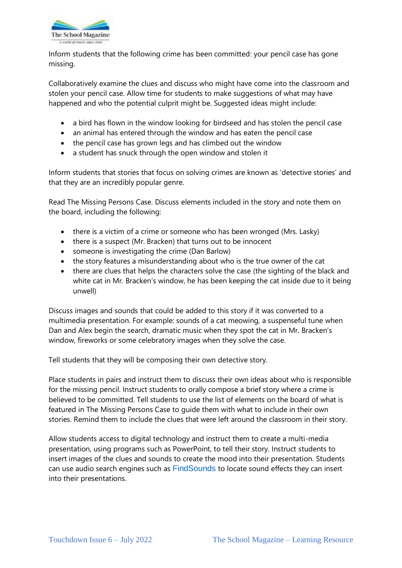

Inform students that the following crime has been committed: your pencil case has gone missing.

Collaboratively examine the clues and discuss who might have come into the classroom and stolen your pencil case. Allow time for students to make suggestions of what may have happened and who the potential culprit might be. Suggested ideas might include:

- a bird has flown in the window looking for birdseed and has stolen the pencil case
- an animal has entered through the window and has eaten the pencil case
- the pencil case has grown legs and has climbed out the window
- a student has snuck through the open window and stolen it

Inform students that stories that focus on solving crimes are known as 'detective stories' and that they are an incredibly popular genre.

Read The Missing Persons Case. Discuss elements included in the story and note them on the board, including the following:

- there is a victim of a crime or someone who has been wronged (Mrs. Lasky)
- there is a suspect (Mr. Bracken) that turns out to be innocent
- someone is investigating the crime (Dan Barlow)
- the story features a misunderstanding about who is the true owner of the cat
- there are clues that helps the characters solve the case (the sighting of the black and white cat in Mr. Bracken's window, he has been keeping the cat inside due to it being unwell)

Discuss images and sounds that could be added to this story if it was converted to a multimedia presentation. For example: sounds of a cat meowing, a suspenseful tune when Dan and Alex begin the search, dramatic music when they spot the cat in Mr. Bracken's window, fireworks or some celebratory images when they solve the case.

Tell students that they will be composing their own detective story.

Place students in pairs and instruct them to discuss their own ideas about who is responsible for the missing pencil. Instruct students to orally compose a brief story where a crime is believed to be committed. Tell students to use the list of elements on the board of what is featured in The Missing Persons Case to guide them with what to include in their own stories. Remind them to include the clues that were left around the classroom in their story.

Allow students access to digital technology and instruct them to create a multi-media presentation, using programs such as PowerPoint, to tell their story. Instruct students to insert images of the clues and sounds to create the mood into their presentation. Students can use audio search engines such as [FindSounds](https://www.findsounds.com/) to locate sound effects they can insert into their presentations.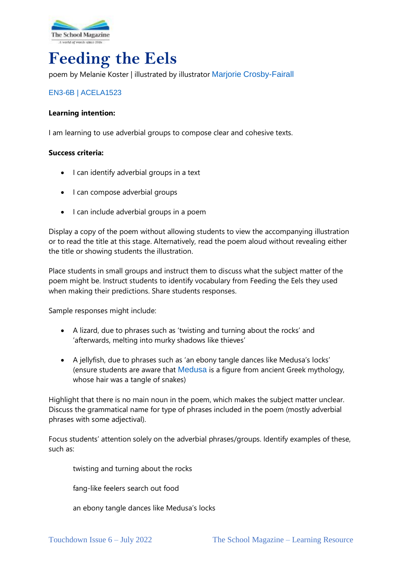

# **Feeding the Eels**

poem by Melanie Koster | illustrated by [illustrator](http://www.annabron.com/) [Marjorie Crosby-Fairall](https://www.crosby-fairall.com/)

### [EN3-6B](https://educationstandards.nsw.edu.au/wps/portal/nesa/k-10/learning-areas/english-year-10/english-k-10/content/895) | [ACELA1523](https://www.australiancurriculum.edu.au/Search/?q=ACELA1523)

#### **Learning intention:**

I am learning to use adverbial groups to compose clear and cohesive texts.

#### **Success criteria:**

- I can identify adverbial groups in a text
- I can compose adverbial groups
- I can include adverbial groups in a poem

Display a copy of the poem without allowing students to view the accompanying illustration or to read the title at this stage. Alternatively, read the poem aloud without revealing either the title or showing students the illustration.

Place students in small groups and instruct them to discuss what the subject matter of the poem might be. Instruct students to identify vocabulary from Feeding the Eels they used when making their predictions. Share students responses.

Sample responses might include:

- A lizard, due to phrases such as 'twisting and turning about the rocks' and 'afterwards, melting into murky shadows like thieves'
- A jellyfish, due to phrases such as 'an ebony tangle dances like Medusa's locks' (ensure students are aware that [Medusa](https://www.britannica.com/topic/Medusa-Greek-mythology) is a figure from ancient Greek mythology, whose hair was a tangle of snakes)

Highlight that there is no main noun in the poem, which makes the subject matter unclear. Discuss the grammatical name for type of phrases included in the poem (mostly adverbial phrases with some adjectival).

Focus students' attention solely on the adverbial phrases/groups. Identify examples of these, such as:

twisting and turning about the rocks

fang-like feelers search out food

an ebony tangle dances like Medusa's locks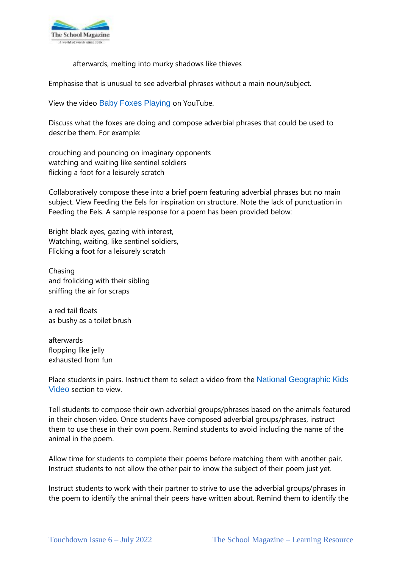

afterwards, melting into murky shadows like thieves

Emphasise that is unusual to see adverbial phrases without a main noun/subject.

View the video [Baby Foxes Playing](https://www.youtube.com/watch?v=lcTf_4fm6rU) on YouTube.

Discuss what the foxes are doing and compose adverbial phrases that could be used to describe them. For example:

crouching and pouncing on imaginary opponents watching and waiting like sentinel soldiers flicking a foot for a leisurely scratch

Collaboratively compose these into a brief poem featuring adverbial phrases but no main subject. View Feeding the Eels for inspiration on structure. Note the lack of punctuation in Feeding the Eels. A sample response for a poem has been provided below:

Bright black eyes, gazing with interest, Watching, waiting, like sentinel soldiers, Flicking a foot for a leisurely scratch

Chasing and frolicking with their sibling sniffing the air for scraps

a red tail floats as bushy as a toilet brush

afterwards flopping like jelly exhausted from fun

Place students in pairs. Instruct them to select a video from the National Geographic Kids [Video](https://kids.nationalgeographic.com/videos) section to view.

Tell students to compose their own adverbial groups/phrases based on the animals featured in their chosen video. Once students have composed adverbial groups/phrases, instruct them to use these in their own poem. Remind students to avoid including the name of the animal in the poem.

Allow time for students to complete their poems before matching them with another pair. Instruct students to not allow the other pair to know the subject of their poem just yet.

Instruct students to work with their partner to strive to use the adverbial groups/phrases in the poem to identify the animal their peers have written about. Remind them to identify the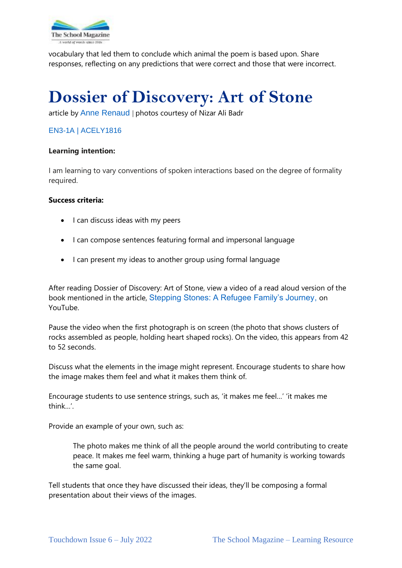

vocabulary that led them to conclude which animal the poem is based upon. Share responses, reflecting on any predictions that were correct and those that were incorrect.

# **Dossier of Discovery: Art of Stone**

article by [Anne Renaud](http://annerenaud.net/) | photos courtesy of Nizar Ali Badr

### [EN3-1A](https://educationstandards.nsw.edu.au/wps/portal/nesa/k-10/learning-areas/english-year-10/english-k-10/content/892) | [ACELY1816](https://www.australiancurriculum.edu.au/Search/?q=ACELY1816)

#### **Learning intention:**

I am learning to vary conventions of spoken interactions based on the degree of formality required.

#### **Success criteria:**

- I can discuss ideas with my peers
- I can compose sentences featuring formal and impersonal language
- I can present my ideas to another group using formal language

After reading Dossier of Discovery: Art of Stone, view a video of a read aloud version of the book mentioned in the article, [Stepping Stones: A Refugee Family's Journey,](https://www.youtube.com/watch?v=bI5TuJCOTV0) on YouTube.

Pause the video when the first photograph is on screen (the photo that shows clusters of rocks assembled as people, holding heart shaped rocks). On the video, this appears from 42 to 52 seconds.

Discuss what the elements in the image might represent. Encourage students to share how the image makes them feel and what it makes them think of.

Encourage students to use sentence strings, such as, 'it makes me feel…' 'it makes me think…'.

Provide an example of your own, such as:

The photo makes me think of all the people around the world contributing to create peace. It makes me feel warm, thinking a huge part of humanity is working towards the same goal.

Tell students that once they have discussed their ideas, they'll be composing a formal presentation about their views of the images.